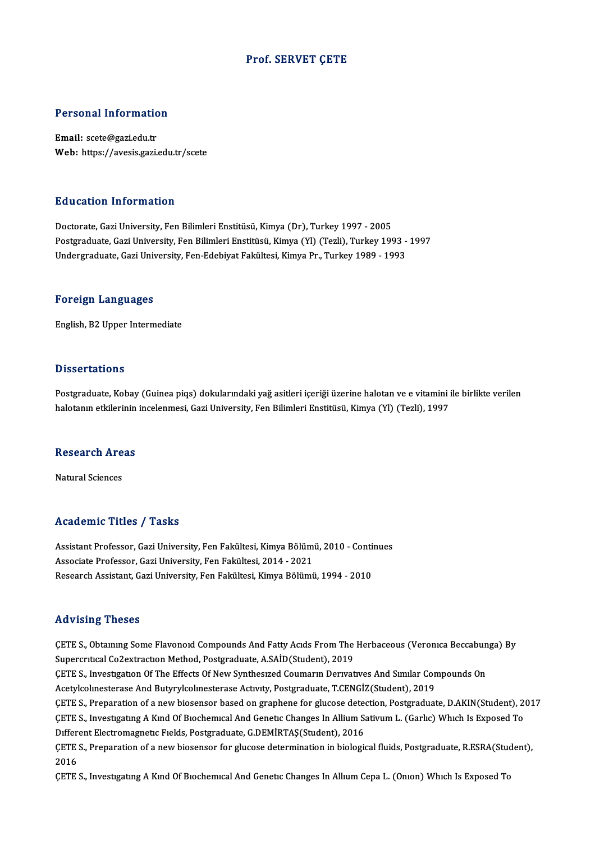### Prof. SERVET ÇETE

# Personal Information

Personal Information<br>Email: scete@gazi.edu.tr<br>Web: https://avasis.cari. Email: scete@gazi.edu.tr<br>Web: https://avesis.gazi.edu.tr/scete

#### Education Information

Doctorate, Gazi University, Fen Bilimleri Enstitüsü, Kimya (Dr), Turkey 1997 - 2005 Postgraduate, Gazi University, Fen Bilimleri Enstitüsü, Kimya (Yl) (Tezli), Turkey 1993 - 1997 Undergraduate, Gazi University, Fen-Edebiyat Fakültesi, Kimya Pr., Turkey 1989 - 1993

#### Foreign Languages

English,B2Upper Intermediate

#### **Dissertations**

Postgraduate, Kobay (Guinea piqs) dokularındaki yağ asitleri içeriği üzerine halotan ve e vitamini ile birlikte verilen halotanın etkilerinin incelenmesi, Gazi University, Fen Bilimleri Enstitüsü, Kimya (Yl) (Tezli), 1997

### naíotanin etkilerinin<br>Research Areas <mark>Research Are</mark><br>Natural Sciences

## Natural Sciences<br>Academic Titles / Tasks

Assistant Professor, Gazi University, Fen Fakültesi, Kimya Bölümü, 2010 - Continues Associate Professor, Gazi University, Fen Fakültesi, 2014 - 2021 Research Assistant, Gazi University, Fen Fakültesi, Kimya Bölümü, 1994 - 2010

#### Advising Theses

Advising Theses<br>ÇETE S., Obtaınıng Some Flavonoıd Compounds And Fatty Acıds From The Herbaceous (Veronıca Beccabunga) By<br>Sunargytisel Co3extrastran Method, Bestanaduste, A SAID(Student), 3019 Supercritical Co2extraction<br>CETE S., Obtaining Some Flavonoid Compounds And Fatty Acids From The<br>Supercritical Co2extraction Method, Postgraduate, A.SAİD(Student), 2019<br>CETE S. Investigation Of The Effects Of New Syntheswe ÇETE S., Obtaining Some Flavonoid Compounds And Fatty Acids From The Herbaceous (Veronica Beccabun<br>Supercritical Co2extraction Method, Postgraduate, A.SAİD(Student), 2019<br>ÇETE S., Investigation Of The Effects Of New Synthe Supercritical Co2extraction Method, Postgraduate, A.SAİD(Student), 2019<br>ÇETE S., Investigation Of The Effects Of New Synthesized Coumarin Derivatives And Similar Con<br>Acetylcolinesterase And Butyrylcolinesterase Activity, P ÇETE S., Investigation Of The Effects Of New Synthesized Coumarin Derivatives And Similar Compounds On<br>Acetylcolinesterase And Butyrylcolinesterase Activity, Postgraduate, T.CENGİZ(Student), 2019<br>ÇETE S., Preparation of a Acetylcolmesterase And Butyrylcolmesterase Activity, Postgraduate, T.CENGİZ(Student), 2019<br>ÇETE S., Preparation of a new biosensor based on graphene for glucose detection, Postgraduate, D.AKIN(Student), 2<br>ÇETE S., Investig CETE S., Preparation of a new biosensor based on graphene for glucose deter<br>CETE S., Investigating A Kind Of Biochemical And Genetic Changes In Allium S.<br>Different Electromagnetic Fields, Postgraduate, G.DEMİRTAŞ(Student), ÇETE S., Investigating A Kind Of Biochemical And Genetic Changes In Allium Sativum L. (Garlic) Which Is Exposed To<br>Different Electromagnetic Fields, Postgraduate, G.DEMİRTAŞ(Student), 2016<br>ÇETE S., Preparation of a new bio Differ<br>ÇETE<br>2016<br>CETE ÇETE S., Preparation of a new biosensor for glucose determination in biological fluids, Postgraduate, R.ESRA(Stud<br>2016<br>ÇETE S., Investıgatıng A Kınd Of Bıochemıcal And Genetic Changes In Allıum Cepa L. (Onıon) Which Is Exp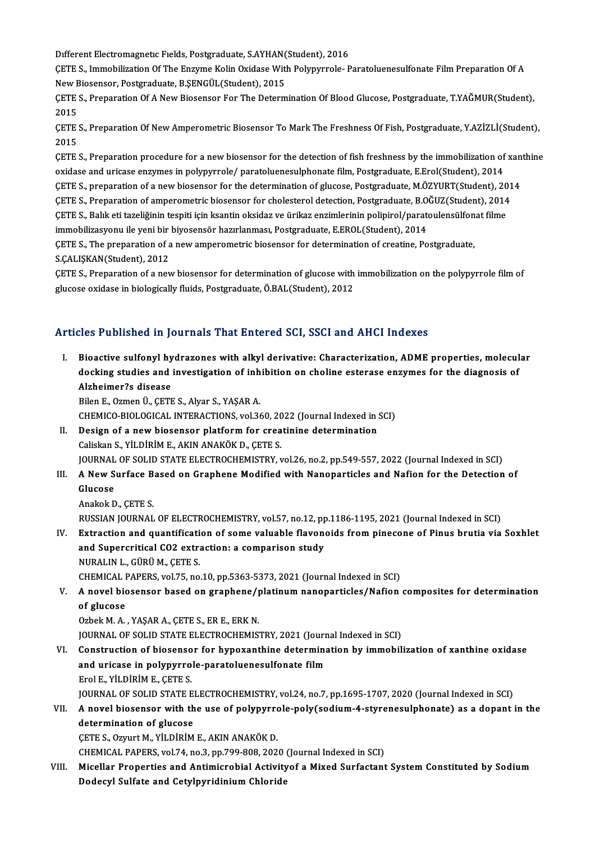Different Electromagnetic Fields, Postgraduate, S.AYHAN(Student), 2016<br>CETE S. Jumphilization Of The Engume Kolin Quidaee With Bolunymole, B

ÇETE S., Immobilization Of The Enzyme Kolin Oxidase With Polypyrrole- Paratoluenesulfonate Film Preparation Of A<br>New Biosensor, Postgraduate, B.SENGÜL(Student), 2015 Different Electromagnetic Fields, Postgraduate, S.AYHAN(<br>CETE S., Immobilization Of The Enzyme Kolin Oxidase With<br>New Biosensor, Postgraduate, B.ŞENGÜL(Student), 2015<br>CETE S., Preparation Of A New Biosensor For The Determ ÇETE S., Immobilization Of The Enzyme Kolin Oxidase With Polypyrrole- Paratoluenesulfonate Film Preparation Of A<br>New Biosensor, Postgraduate, B.ŞENGÜL(Student), 2015<br>ÇETE S., Preparation Of A New Biosensor For The Determin

New E<br>ÇETE<br>2015<br>CETE ÇETE S., Preparation Of A New Biosensor For The Determination Of Blood Glucose, Postgraduate, T.YAĞMUR(Student),<br>2015<br>ÇETE S., Preparation Of New Amperometric Biosensor To Mark The Freshness Of Fish, Postgraduate, Y.AZİZLİ

2015<br>ÇETE :<br>2015<br>CETE : CETE S., Preparation Of New Amperometric Biosensor To Mark The Freshness Of Fish, Postgraduate, Y.AZİZLİ(Student),<br>2015<br>CETE S., Preparation procedure for a new biosensor for the detection of fish freshness by the immobili

2015<br>ÇETE S., Preparation procedure for a new biosensor for the detection of fish freshness by the immobilization of xanthine<br>oxidase and uricase enzymes in polypyrrole/ paratoluenesulphonate film, Postgraduate, E.Erol(Stu ÇETE S., Preparation procedure for a new biosensor for the detection of fish freshness by the immobilization of xan<br>oxidase and uricase enzymes in polypyrrole/ paratoluenesulphonate film, Postgraduate, E.Erol(Student), 201 oxidase and uricase enzymes in polypyrrole/ paratoluenesulphonate film, Postgraduate, E.Erol(Student), 2014<br>ÇETE S., preparation of a new biosensor for the determination of glucose, Postgraduate, M.ÖZYURT(Student), 201<br>ÇET ÇETE S., preparation of a new biosensor for the determination of glucose, Postgraduate, M.ÖZYURT(Student), 20<br>ÇETE S., Preparation of amperometric biosensor for cholesterol detection, Postgraduate, B.OĞUZ(Student), 2014<br>ÇE ÇETE S., Preparation of amperometric biosensor for cholesterol detection, Postgraduate, B.OĞUZ(Student), 2014<br>ÇETE S., Balık eti tazeliğinin tespiti için ksantin oksidaz ve ürikaz enzimlerinin polipirol/paratoulensülfonat ÇETE S., Balık eti tazeliğinin tespiti için ksantin oksidaz ve ürikaz enzimlerinin polipirol/paratoulensülfon<br>immobilizasyonu ile yeni bir biyosensör hazırlanması, Postgraduate, E.EROL(Student), 2014<br>ÇETE S., The preparati immobilizasyonu ile yeni bir<br>ÇETE S., The preparation of a<br>S.ÇALIŞKAN(Student), 2012<br>CETE S. Preparation of a pev ÇETE S., The preparation of a new amperometric biosensor for determination of creatine, Postgraduate,<br>S.ÇALIŞKAN(Student), 2012<br>ÇETE S., Preparation of a new biosensor for determination of glucose with immobilization on th

S.ÇALIŞKAN(Student), 2012<br>ÇETE S., Preparation of a new biosensor for determination of glucose with<br>glucose oxidase in biologically fluids, Postgraduate, Ö.BAL(Student), 2012

# glucose oxidase in biologically huids, Postgraduate, O.BAL(Student), 2012<br>Articles Published in Journals That Entered SCI, SSCI and AHCI Indexes

I. Bioactive sulfonyl hydrazones with alkyl derivative: Characterization, ADME properties, molecular<br>I. Bioactive sulfonyl hydrazones with alkyl derivative: Characterization, ADME properties, molecular<br>decking studies and docking studies and investments and investor outly studies and arrow much of the properties, molecul<br>docking studies and investigation of inhibition on choline esterase enzymes for the diagnosis of<br>Altheimer?s disease Bioactive sulfonyl hy<br>docking studies and<br>Alzheimer?s disease<br><sup>Bilon E.</sup> Ozmon Ü. CETI docking studies and investigation of inh<br>Alzheimer?s disease<br>Bilen E., Ozmen Ü., ÇETE S., Alyar S., YAŞAR A.<br>CHEMICO BIOLOGICAL INTERACTIONS xral 36 Alzheimer?s disease<br>Bilen E., Ozmen Ü., ÇETE S., Alyar S., YAŞAR A.<br>CHEMICO-BIOLOGICAL INTERACTIONS, vol.360, 2022 (Journal Indexed in SCI)<br>Design of a now biosensor platform for greatinine determination

Bilen E., Ozmen Ü., ÇETE S., Alyar S., YAŞAR A.<br>CHEMICO-BIOLOGICAL INTERACTIONS, vol.360, 2022 (Journal Indexed in<br>II. Design of a new biosensor platform for creatinine determination<br>Caliskan S., YİLDİRİM E., AKIN ANAKÖK D CHEMICO-BIOLOGICAL INTERACTIONS, vol.360, 20<br>Design of a new biosensor platform for crea<br>Caliskan S., YİLDİRİM E., AKIN ANAKÖK D., ÇETE S.<br>JOUPNAL OF SOLID STATE ELECTROCHEMISTRY JOURNAL OF SOLID STATE ELECTROCHEMISTRY, vol.26, no.2, pp.549-557, 2022 (Journal Indexed in SCI) Caliskan S., YİLDİRİM E., AKIN ANAKÖK D., ÇETE S.<br>JOURNAL OF SOLID STATE ELECTROCHEMISTRY, vol.26, no.2, pp.549-557, 2022 (Journal Indexed in SCI)<br>III. A New Surface Based on Graphene Modified with Nanoparticles and Na

### **JOURNAL<br>A New S<br>Glucose A New Surface B<br>Glucose<br>Anakok D., ÇETE S.<br>BUSSIAN JOUPMAL**

- Glucose<br>Anakok D., ÇETE S.<br>RUSSIAN JOURNAL OF ELECTROCHEMISTRY, vol.57, no.12, pp.1186-1195, 2021 (Journal Indexed in SCI)
- IV. Extraction and quantification of some valuable flavonoids frompinecone of Pinus brutia via Soxhlet RUSSIAN JOURNAL OF ELECTROCHEMISTRY, vol.57, no.12, pp<br>Extraction and quantification of some valuable flavone<br>and Supercritical CO2 extraction: a comparison study<br>NURALIN L. CÜPÜM GETE S Extraction and quantificati<br>and Supercritical CO2 extra<br>NURALIN L., GÜRÜ M., ÇETE S.<br>CHEMICAL PAPERS VOLZE DO and Supercritical CO2 extraction: a comparison study<br>NURALIN L., GÜRÜ M., ÇETE S.<br>CHEMICAL PAPERS, vol.75, no.10, pp.5363-5373, 2021 (Journal Indexed in SCI)<br>A novel biosensor based en graphene (platinum papenarticles (Naf NURALIN L., GÜRÜ M., ÇETE S.<br>CHEMICAL PAPERS, vol.75, no.10, pp.5363-5373, 2021 (Journal Indexed in SCI)<br>V. A novel biosensor based on graphene/platinum nanoparticles/Nafion composites for determination<br>of slusese

### CHEMICAL PAPERS, vol.75, no.10, pp.5363-5373, 2021 (Journal Indexed in SCI)<br>A novel biosensor based on graphene/platinum nanoparticles/Nafion<br>of glucose<br>Ozbek M. A., YAŞAR A., CETE S., ER E., ERK N. A novel biosensor based on graphene/<sub>l</sub><br>of glucose<br>Ozbek M. A. , YAŞAR A., ÇETE S., ER E., ERK N.<br>JOUPNAL OF SOLID STATE ELECTPOCHEMIS

of glucose<br>Ozbek M. A. , YAŞAR A., ÇETE S., ER E., ERK N.<br>JOURNAL OF SOLID STATE ELECTROCHEMISTRY, 2021 (Journal Indexed in SCI)<br>Construction of biosenser for bynoventhine determination by immebil

Ozbek M. A. , YAŞAR A., ÇETE S., ER E., ERK N.<br>JOURNAL OF SOLID STATE ELECTROCHEMISTRY, 2021 (Journal Indexed in SCI)<br>VI. Construction of biosensor for hypoxanthine determination by immobilization of xanthine oxidase<br>and u JOURNAL OF SOLID STATE ELECTROCHEMISTRY, 2021 (Journ<br>Construction of biosensor for hypoxanthine determinand uricase in polypyrrole-paratoluenesulfonate film<br>Frel F. Vil DiPiM E. CETE S Construction of biosenso<br>and uricase in polypyrro<br>Erol E., YİLDİRİM E., ÇETE S.<br>JOUPMAL OE SOLID STATE E and uricase in polypyrrole-paratoluenesulfonate film<br>Erol E., YİLDİRİM E., ÇETE S.<br>JOURNAL OF SOLID STATE ELECTROCHEMISTRY, vol.24, no.7, pp.1695-1707, 2020 (Journal Indexed in SCI)<br>A novel biosenser with the use of nolyny Erol E., YİLDİRİM E., ÇETE S.<br>JOURNAL OF SOLID STATE ELECTROCHEMISTRY, vol.24, no.7, pp.1695-1707, 2020 (Journal Indexed in SCI)<br>VII. A novel biosensor with the use of polypyrrole-poly(sodium-4-styrenesulphonate) as a

### **JOURNAL OF SOLID STATE E**<br>**A novel biosensor with the determination of glucose** VII. A novel biosensor with the use of polypyrrole-poly(sodium-4-styrenesulphonate) as a dopant in the determination of glucose<br>CETE S., Ozyurt M., YİLDİRİM E., AKIN ANAKÖK D. determination of glucose<br>ÇETE S., Ozyurt M., YİLDİRİM E., AKIN ANAKÖK D.<br>CHEMICAL PAPERS, vol.74, no.3, pp.799-808, 2020 (Journal Indexed in SCI)<br>Misellar Prepertise and Antimisrabial Astivityaf a Mixed Surfastant

VIII. Micellar Properties and Antimicrobial Activityof a Mixed Surfactant System Constituted by Sodium<br>Dodecyl Sulfate and Cetylpyridinium Chloride CHEMICAL PAPERS, vol.74, no.3, pp.799-808, 2020<br>Micellar Properties and Antimicrobial Activity<br>Dodecyl Sulfate and Cetylpyridinium Chloride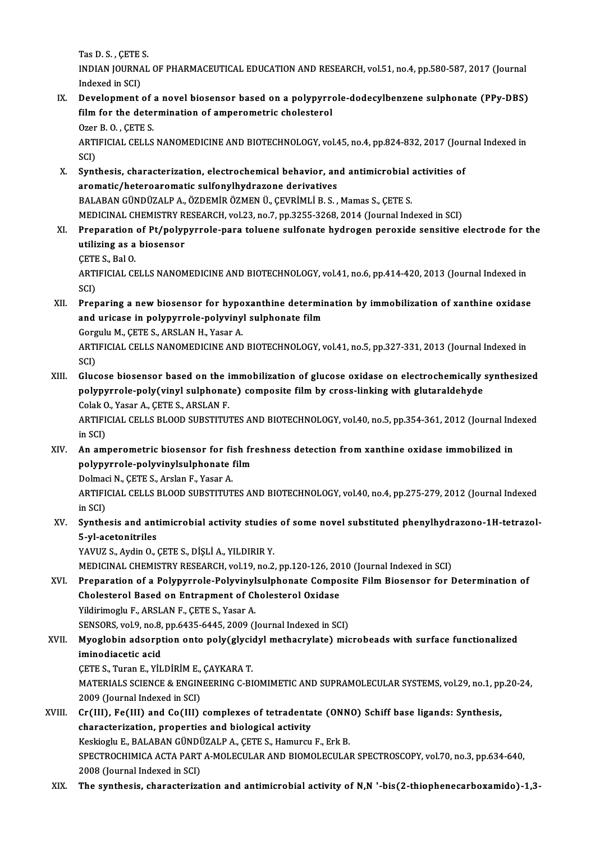Tas D.S., CETE S.

Tas D. S. , ÇETE S.<br>INDIAN JOURNAL OF PHARMACEUTICAL EDUCATION AND RESEARCH, vol.51, no.4, pp.580-587, 2017 (Journal Tas D. S. , ÇETE<br>INDIAN JOURNA<br>Indexed in SCI)<br>Development INDIAN JOURNAL OF PHARMACEUTICAL EDUCATION AND RESEARCH, vol.51, no.4, pp.580-587, 2017 (Journal<br>Indexed in SCI)<br>IX. Development of a novel biosensor based on a polypyrrole-dodecylbenzene sulphonate (PPy-DBS)

Indexed in SCI)<br>Development of a novel biosensor based on a polypyrre<br>film for the determination of amperometric cholesterol<br>Ozer B.O., CETE S **Development of Solution**<br>**Computer B.O., CETE S.<br>APTIFICIAL CELLS** film for the determination of amperometric cholesterol<br>Ozer B. O. , ÇETE S.<br>ARTIFICIAL CELLS NANOMEDICINE AND BIOTECHNOLOGY, vol.45, no.4, pp.824-832, 2017 (Journal Indexed in<br>SCD

Ozer<br>ARTI<br>SCI)<br>Sunt ARTIFICIAL CELLS NANOMEDICINE AND BIOTECHNOLOGY, vol.45, no.4, pp.824-832, 2017 (Journal Company)<br>SCI)<br>X. Synthesis, characterization, electrochemical behavior, and antimicrobial activities of<br>Aramatic (hataraaramatic culf

- SCI)<br>Synthesis, characterization, electrochemical behavior, and antimicrobial a<br>aromatic/heteroaromatic sulfonylhydrazone derivatives<br>BALABAN GÜNDÜZALP A., ÖZDEMİR ÖZMEN Ü., ÇEVRİMLİ B. S. , Mamas S., ÇETE S. Synthesis, characterization, electrochemical behavior, and antimicrobial<br>aromatic/heteroaromatic sulfonylhydrazone derivatives<br>BALABAN GÜNDÜZALP A., ÖZDEMİR ÖZMEN Ü., ÇEVRİMLİ B. S. , Mamas S., ÇETE S.<br>MEDICINAL CUEMISTRY MEDICINAL CHEMISTRY RESEARCH, vol.23, no.7, pp.3255-3268, 2014 (Journal Indexed in SCI)
- XI. Preparation of Pt/polypyrrole-para toluene sulfonate hydrogen peroxide sensitive electrode for the MEDICINAL CHEMISTRY R<br>Preparation of Pt/polyp<br>utilizing as a biosensor<br>CETE S. Pol.O. Preparation<br>utilizing as a<br>ÇETE S., Bal O.<br>ARTIEICIAL CE
	- CETE S. Bal O

ARTIFICIAL CELLS NANOMEDICINE AND BIOTECHNOLOGY, vol.41, no.6, pp.414-420, 2013 (Journal Indexed in<br>SCI) ARTIFICIAL CELLS NANOMEDICINE AND BIOTECHNOLOGY, vol.41, no.6, pp.414-420, 2013 (Journal Indexed in<br>SCI)<br>XII. Preparing a new biosensor for hypoxanthine determination by immobilization of xanthine oxidase<br>and urisese in po

SCI)<br>Preparing a new biosensor for hypoxanthine determin<br>and uricase in polypyrrole-polyvinyl sulphonate film<br>Cervyly M. GETE S. ARSLAN H. Yssen A Preparing a new biosensor for hypo<br>and uricase in polypyrrole-polyviny<br>Gorgulu M., ÇETE S., ARSLAN H., Yasar A.<br>ARTIEICIAL CELLS NANOMEDICINE AND

Gorgulu M., CETE S., ARSLAN H., Yasar A.

and uricase in polypyrrole-polyvinyl sulphonate film<br>Gorgulu M., ÇETE S., ARSLAN H., Yasar A.<br>ARTIFICIAL CELLS NANOMEDICINE AND BIOTECHNOLOGY, vol.41, no.5, pp.327-331, 2013 (Journal Indexed in<br>SCI) ARTIFICIAL CELLS NANOMEDICINE AND BIOTECHNOLOGY, vol.41, no.5, pp.327-331, 2013 (Journal Indexed in<br>SCI)<br>XIII. Glucose biosensor based on the immobilization of glucose oxidase on electrochemically synthesized<br>nolynumeds po

SCI)<br>Glucose biosensor based on the immobilization of glucose oxidase on electrochemically :<br>polypyrrole-poly(vinyl sulphonate) composite film by cross-linking with glutaraldehyde<br>ColakO Yasar A. CETE S. ABSLAN E Glucose biosensor based on the i<br>polypyrrole-poly(vinyl sulphonat<br>Colak O., Yasar A., ÇETE S., ARSLAN F.<br>ARTIFICIAL CELLS RLOOD SURSTITU polypyrrole-poly(vinyl sulphonate) composite film by cross-linking with glutaraldehyde<br>Colak O., Yasar A., ÇETE S., ARSLAN F.<br>ARTIFICIAL CELLS BLOOD SUBSTITUTES AND BIOTECHNOLOGY, vol.40, no.5, pp.354-361, 2012 (Journal In

Colak O<br>ARTIFI<br>in SCI)<br>An ami ARTIFICIAL CELLS BLOOD SUBSTITUTES AND BIOTECHNOLOGY, vol.40, no.5, pp.354-361, 2012 (Journal Ind<br>in SCI)<br>XIV. An amperometric biosensor for fish freshness detection from xanthine oxidase immobilized in<br>nothing and produce in SCI)<br>XIV. An amperometric biosensor for fish freshness detection from xanthine oxidase immobilized in

polypyrrole-polyvinylsulphonate film

Dolmaci N., ÇETE S., Arslan F., Yasar A.

ARTIFICIAL CELLS BLOOD SUBSTITUTES AND BIOTECHNOLOGY, vol.40, no.4, pp.275-279, 2012 (Journal Indexed<br>in SCI) ARTIFICIAL CELLS BLOOD SUBSTITUTES AND BIOTECHNOLOGY, vol.40, no.4, pp.275-279, 2012 (Journal Indexed<br>in SCI)<br>XV. Synthesis and antimicrobial activity studies of some novel substituted phenylhydrazono-1H-tetrazol-

in SCI)<br>Synthesis and ant<br>5-yl-acetonitriles<br>YAVU7 S. Ardin O. (

5-yl-acetonitriles<br>YAVUZ S., Aydin O., ÇETE S., DİŞLİ A., YILDIRIR Y.

MEDICINAL CHEMISTRY RESEARCH, vol.19, no.2, pp.120-126, 2010 (Journal Indexed in SCI)

### XVI. Preparation of a Polypyrrole-Polyvinylsulphonate Composite Film Biosensor for Determination of MEDICINAL CHEMISTRY RESEARCH, vol.19, no.2, pp.120-126, 201<br>Preparation of a Polypyrrole-Polyvinylsulphonate Compo<br>Cholesterol Based on Entrapment of Cholesterol Oxidase<br>Vidirimochue APSLANE CETES, Veser A Cholesterol Based on Entrapment of Cholesterol Oxidase<br>Yildirimoglu F., ARSLAN F., ÇETE S., Yasar A.<br>SENSORS, vol.9, no.8, pp.6435-6445, 2009 (Journal Indexed in SCI)<br>Muaglabin adsarntian anta palu(glugidul mathagrulata) m

Yildirimoglu F., ARSLAN F., ÇETE S., Yasar A.<br>SENSORS, vol.9, no.8, pp.6435-6445, 2009 (Journal Indexed in SCI)

Yildirimoglu F., ARSLAN F., ÇETE S., Yasar A.<br>SENSORS, vol.9, no.8, pp.6435-6445, 2009 (Journal Indexed in SCI)<br>XVII. Myoglobin adsorption onto poly(glycidyl methacrylate) microbeads with surface functionalized<br>iminodiacet SENSORS, vol.9, no.8,<br>Myoglobin adsorpt<br>iminodiacetic acid Myoglobin adsorption onto poly(glycion)<br>iminodiacetic acid<br>CETE S., Turan E., YİLDİRİM E., ÇAYKARA T.<br>MATERIALS SCIENCE & ENCINEERING G PI

CETE S., Turan E., YİLDİRİM E., ÇAYKARA T.

iminodiacetic acid<br>ÇETE S., Turan E., YİLDİRİM E., ÇAYKARA T.<br>MATERIALS SCIENCE & ENGINEERING C-BIOMIMETIC AND SUPRAMOLECULAR SYSTEMS, vol.29, no.1, pp.20-24,<br>2009 (Journal Indexed in SCI) MATERIALS SCIENCE & ENGINEERING C-BIOMIMETIC AND SUPRAMOLECULAR SYSTEMS, vol.29, no.1, pp<br>2009 (Journal Indexed in SCI)<br>XVIII. Cr(III), Fe(III) and Co(III) complexes of tetradentate (ONNO) Schiff base ligands: Synthesis,<br>c

- 2009 (Journal Indexed in SCI)<br>Cr(III), Fe(III) and Co(III) complexes of tetradenta<br>characterization, properties and biological activity<br>Keskischu E. BALABAN CÜNDÜZALBA, CETES, Hamurau Cr(III), Fe(III) and Co(III) complexes of tetradentate (ONN<br>characterization, properties and biological activity<br>Keskioglu E., BALABAN GÜNDÜZALP A., ÇETE S., Hamurcu F., Erk B.<br>SPECTROCHIMICA ACTA PAPT A MOLECIJ AP AND BIO characterization, properties and biological activity<br>Keskioglu E., BALABAN GÜNDÜZALP A., ÇETE S., Hamurcu F., Erk B.<br>SPECTROCHIMICA ACTA PART A-MOLECULAR AND BIOMOLECULAR SPECTROSCOPY, vol.70, no.3, pp.634-640,<br>2008 (Journ Keskioglu E., BALABAN GÜNDÜZALP A., ÇETE S., Hamurcu F., Erk B.
- XIX. The synthesis, characterization and antimicrobial activity of N,N '-bis(2-thiophenecarboxamido)-1,3-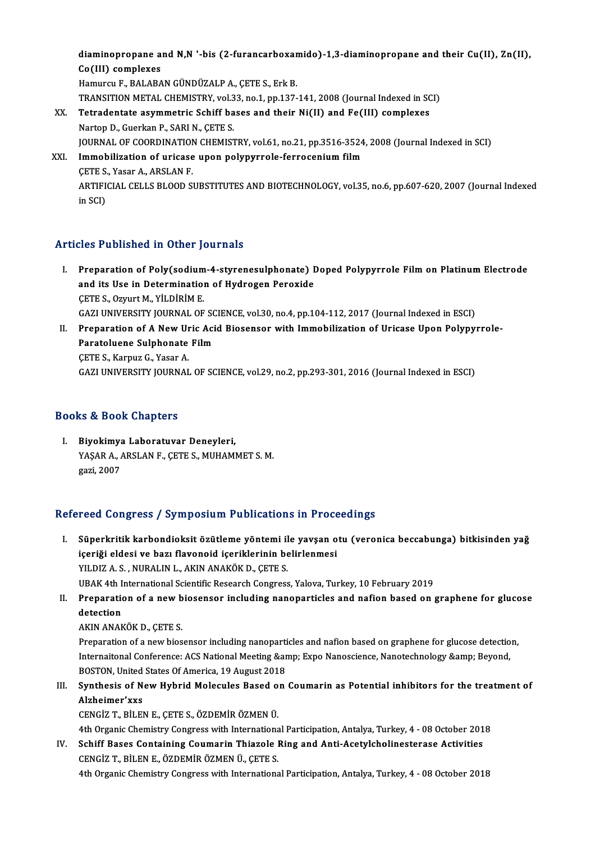diaminopropane and N,N '-bis (2-furancarboxamido)-1,3-diaminopropane and their Cu(II), Zn(II), diaminopropane a<br>Co(III) complexes<br>Hamurau E. BALABA Co(III) complexes<br>Hamurcu F., BALABAN GÜNDÜZALP A., CETE S., Erk B. Co(III) complexes<br>Hamurcu F., BALABAN GÜNDÜZALP A., ÇETE S., Erk B.<br>TRANSITION METAL CHEMISTRY, vol.33, no.1, pp.137-141, 2008 (Journal Indexed in SCI)<br>Tetradentate esummetris Sebiff bases and their Ni(II) and Fe(III) semp XX. Tetradentate asymmetric Schiff bases and their Ni(II) and Fe(III) complexes<br>Nartop D., Guerkan P., SARI N., CETE S. TRANSITION METAL CHEMISTRY, vol.3<br>Tetradentate asymmetric Schiff ba<br>Nartop D., Guerkan P., SARI N., ÇETE S.<br>JOUPNAL OF COOPDINATION CHEMIST Tetradentate asymmetric Schiff bases and their Ni(II) and Fe(III) complexes<br>Nartop D., Guerkan P., SARI N., ÇETE S.<br>JOURNAL OF COORDINATION CHEMISTRY, vol.61, no.21, pp.3516-3524, 2008 (Journal Indexed in SCI)<br>Immebilizati Nartop D., Guerkan P., SARI N., ÇETE S.<br>JOURNAL OF COORDINATION CHEMISTRY, vol.61, no.21, pp.3516-3524<br>XXI. Immobilization of uricase upon polypyrrole-ferrocenium film<br>CETE S. Vesen A. ABSLAN E **JOURNAL OF COORDINATION<br>Immobilization of uricase<br>CETE S., Yasar A., ARSLAN F.<br>APTIEICIAL CELLS PLOOD S** Immobilization of uricase upon polypyrrole-ferrocenium film<br>ÇETE S., Yasar A., ARSLAN F.<br>ARTIFICIAL CELLS BLOOD SUBSTITUTES AND BIOTECHNOLOGY, vol.35, no.6, pp.607-620, 2007 (Journal Indexed<br>in SCD

ÇETE S.<br>ARTIFI<br>in SCI)

## Articles Published in Other Journals

- rticles Published in Other Journals<br>I. Preparation of Poly(sodium-4-styrenesulphonate) Doped Polypyrrole Film on Platinum Electrode<br>And its Use in Determination of Hydrogen Perevide and its University of House in Defermination<br>Preparation of Poly(sodium-4-styrenesulphonate) I<br>and its Use in Determination of Hydrogen Peroxide and its Use in Determination of Hydrogen Peroxide<br>CETE S., Ozyurt M., YİLDİRİM E. and its Use in Determination of Hydrogen Peroxide<br>ÇETE S., Ozyurt M., YİLDİRİM E.<br>GAZI UNIVERSITY JOURNAL OF SCIENCE, vol.30, no.4, pp.104-112, 2017 (Journal Indexed in ESCI)<br>Preperation of A Now Unis Asid Biosensor with I CETE S., Ozyurt M., YİLDİRİM E.<br>GAZI UNIVERSITY JOURNAL OF SCIENCE, vol.30, no.4, pp.104-112, 2017 (Journal Indexed in ESCI)<br>II. Preparation of A New Uric Acid Biosensor with Immobilization of Uricase Upon Polypyrrole-<br>Par
- GAZI UNIVERSITY JOURNAL OF SO<br>Preparation of A New Uric Aci<br>Paratoluene Sulphonate Film<br>CETE S. Karnuz C. Yasar A **Preparation of A New Ur<br>Paratoluene Sulphonate<br>CETE S., Karpuz G., Yasar A.<br>CAZLUNIVERSITY JOURNAL** Paratoluene Sulphonate Film<br>ÇETE S., Karpuz G., Yasar A.<br>GAZI UNIVERSITY JOURNAL OF SCIENCE, vol.29, no.2, pp.293-301, 2016 (Journal Indexed in ESCI)

### Books&Book Chapters

I. Biyokimya Laboratuvar Deneyleri, YAŞAR A., ARSLAN F., ÇETE S., MUHAMMET S. M.<br>gazi, 2007 <mark>Biyokimy</mark>a<br>YAŞAR A., *I*<br>gazi, 2007

### Refereed Congress / Symposium Publications in Proceedings

efereed Congress / Symposium Publications in Proceedings<br>I. Süperkritik karbondioksit özütleme yöntemi ile yavşan otu (veronica beccabunga) bitkisinden yağ<br>İsoriği eldesi ve barı flaveneid iseriklerinin belirlenmesi içeriği eldesi ve bazı flavonoid içeriklerinin belirlenmesi<br>içeriği eldesi ve bazı flavonoid içeriklerinin belirlenmesi<br>VU DIZ A. S. NURALIN L. AKIN ANAKÖK D. CETE S. Süperkritik karbondioksit özütleme yöntemi il<br>içeriği eldesi ve bazı flavonoid içeriklerinin be<br>YILDIZ A. S. , NURALIN L., AKIN ANAKÖK D., ÇETE S.<br>UPAK 4th International Scientific Besearch Congress içeriği eldesi ve bazı flavonoid içeriklerinin belirlenmesi<br>YILDIZ A. S. , NURALIN L., AKIN ANAKÖK D., ÇETE S.<br>UBAK 4th International Scientific Research Congress, Yalova, Turkey, 10 February 2019<br>Preparation of a now bios YILDIZ A. S. , NURALIN L., AKIN ANAKÖK D., ÇETE S.<br>UBAK 4th International Scientific Research Congress, Yalova, Turkey, 10 February 2019<br>II. Preparation of a new biosensor including nanoparticles and nafion based on graphe

- UBAK 4th I<br>Preparation<br>detection<br>AKIN ANAR Preparation of a new b<br>detection<br>AKIN ANAKÖK D., ÇETE S.<br>Preparation of a new bios
	-

detection<br>AKIN ANAKÖK D., ÇETE S.<br>Preparation of a new biosensor including nanoparticles and nafion based on graphene for glucose detection,<br>Internaitonal Conference: ACS National Meeting Sampy Eyne Nanosciones Nanotechnol AKIN ANAKÖK D., ÇETE S.<br>Preparation of a new biosensor including nanoparticles and nafion based on graphene for glucose detectio<br>Internaitonal Conference: ACS National Meeting &amp; Expo Nanoscience, Nanotechnology &amp; B Preparation of a new biosensor including nanoparti<br>Internaitonal Conference: ACS National Meeting &ar<br>BOSTON, United States Of America, 19 August 2018<br>Synthesia of Now Hybrid Mologyles Based on Internaitonal Conference: ACS National Meeting & Expo Nanoscience, Nanotechnology & Beyond,<br>BOSTON, United States Of America, 19 August 2018<br>III. Synthesis of New Hybrid Molecules Based on Coumarin as Potential inh

BOSTON, United<br>Synthesis of N<br>Alzheimer'xxs<br>CENCIZ T- PU EL Synthesis of New Hybrid Molecules Based o<br>Alzheimer'xxs<br>CENGİZ T., BİLEN E., ÇETE S., ÖZDEMİR ÖZMEN Ü.<br>4th Organis Chamistry: Congress with Internations Alzheimer'xxs<br>CENGİZ T., BİLEN E., ÇETE S., ÖZDEMİR ÖZMEN Ü.<br>4th Organic Chemistry Congress with International Participation, Antalya, Turkey, 4 - 08 October 2018<br>Sebiff Peess Containing Coumenin Thiagale Bing and Anti-Ase

CENGİZ T., BİLEN E., ÇETE S., ÖZDEMİR ÖZMEN Ü.<br>4th Organic Chemistry Congress with International Participation, Antalya, Turkey, 4 - 08 October 201<br>IV. Schiff Bases Containing Coumarin Thiazole Ring and Anti-Acetylcholines 4th Organic Chemistry Congress with Internations<br>Schiff Bases Containing Coumarin Thiazole I<br>CENGİZ T., BİLEN E., ÖZDEMİR ÖZMEN Ü., ÇETE S. Schiff Bases Containing Coumarin Thiazole Ring and Anti-Acetylcholinesterase Activities<br>CENGİZ T., BİLEN E., ÖZDEMİR ÖZMEN Ü., ÇETE S.<br>4th Organic Chemistry Congress with International Participation, Antalya, Turkey, 4 - 0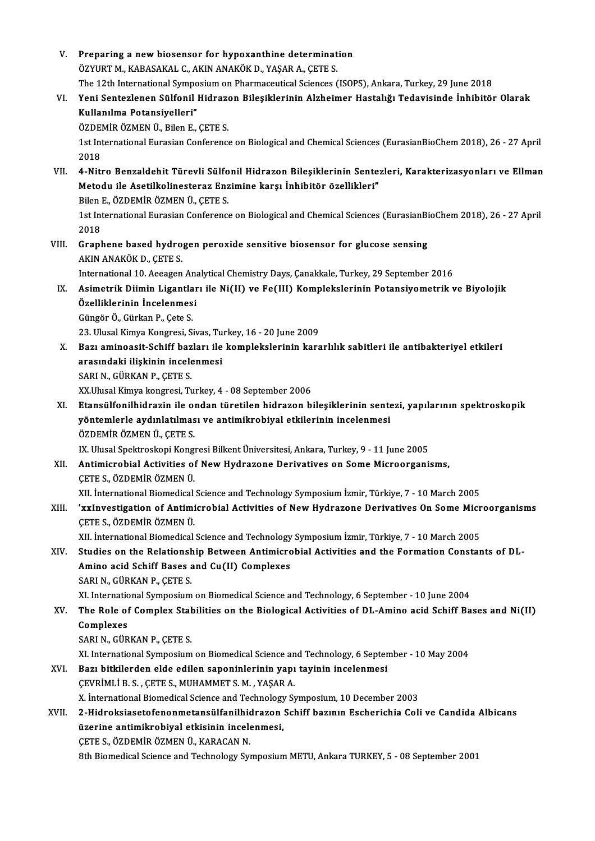| V.           | Preparing a new biosensor for hypoxanthine determination                                                                                                       |
|--------------|----------------------------------------------------------------------------------------------------------------------------------------------------------------|
|              | ÖZYURT M., KABASAKAL C., AKIN ANAKÖK D., YAŞAR A., ÇETE S.                                                                                                     |
|              | The 12th International Symposium on Pharmaceutical Sciences (ISOPS), Ankara, Turkey, 29 June 2018                                                              |
| VI.          | Yeni Sentezlenen Sülfonil Hidrazon Bileşiklerinin Alzheimer Hastalığı Tedavisinde İnhibitör Olarak                                                             |
|              | Kullanılma Potansiyelleri"                                                                                                                                     |
|              | ÖZDEMİR ÖZMEN Ü., Bilen E., ÇETE S.                                                                                                                            |
|              | 1st International Eurasian Conference on Biological and Chemical Sciences (EurasianBioChem 2018), 26 - 27 April                                                |
|              | 2018                                                                                                                                                           |
| VII.         | 4-Nitro Benzaldehit Türevli Sülfonil Hidrazon Bileşiklerinin Sentezleri, Karakterizasyonları ve Ellman                                                         |
|              | Metodu ile Asetilkolinesteraz Enzimine karşı İnhibitör özellikleri"                                                                                            |
|              | Bilen E., ÖZDEMİR ÖZMEN Ü., ÇETE S.                                                                                                                            |
|              | 1st International Eurasian Conference on Biological and Chemical Sciences (EurasianBioChem 2018), 26 - 27 April                                                |
|              | 2018                                                                                                                                                           |
| VIII.<br>IX. | Graphene based hydrogen peroxide sensitive biosensor for glucose sensing                                                                                       |
|              | AKIN ANAKÖK D., ÇETE S.                                                                                                                                        |
|              | International 10. Aeeagen Analytical Chemistry Days, Çanakkale, Turkey, 29 September 2016                                                                      |
|              | Asimetrik Diimin Ligantları ile Ni(II) ve Fe(III) Komplekslerinin Potansiyometrik ve Biyolojik                                                                 |
|              | Özelliklerinin İncelenmesi                                                                                                                                     |
|              | Güngör Ö., Gürkan P., Çete S.                                                                                                                                  |
|              | 23. Ulusal Kimya Kongresi, Sivas, Turkey, 16 - 20 June 2009                                                                                                    |
| Х.<br>XI.    | Bazı aminoasit-Schiff bazları ile komplekslerinin kararlılık sabitleri ile antibakteriyel etkileri                                                             |
|              | arasındaki ilişkinin incelenmesi                                                                                                                               |
|              | SARI N., GÜRKAN P., ÇETE S.                                                                                                                                    |
|              | XX.Ulusal Kimya kongresi, Turkey, 4 - 08 September 2006<br>Etansülfonilhidrazin ile ondan türetilen hidrazon bileşiklerinin sentezi, yapılarının spektroskopik |
|              | yöntemlerle aydınlatılması ve antimikrobiyal etkilerinin incelenmesi                                                                                           |
|              | ÖZDEMİR ÖZMEN Ü., ÇETE S.                                                                                                                                      |
|              | IX. Ulusal Spektroskopi Kongresi Bilkent Üniversitesi, Ankara, Turkey, 9 - 11 June 2005                                                                        |
| XII.         | Antimicrobial Activities of New Hydrazone Derivatives on Some Microorganisms,                                                                                  |
|              | ÇETE S., ÖZDEMİR ÖZMEN Ü.                                                                                                                                      |
|              | XII. International Biomedical Science and Technology Symposium İzmir, Türkiye, 7 - 10 March 2005                                                               |
| XIII.        | 'xxInvestigation of Antimicrobial Activities of New Hydrazone Derivatives On Some Microorganisms                                                               |
|              | ÇETE S., ÖZDEMİR ÖZMEN Ü.                                                                                                                                      |
|              | XII. İnternational Biomedical Science and Technology Symposium İzmir, Türkiye, 7 - 10 March 2005                                                               |
| XIV.         | Studies on the Relationship Between Antimicrobial Activities and the Formation Constants of DL-                                                                |
|              | Amino acid Schiff Bases and Cu(II) Complexes                                                                                                                   |
|              | SARI N., GÜRKAN P., ÇETE S.                                                                                                                                    |
|              | XI. International Symposium on Biomedical Science and Technology, 6 September - 10 June 2004                                                                   |
| XV.          | The Role of Complex Stabilities on the Biological Activities of DL-Amino acid Schiff Bases and Ni(II)                                                          |
|              | Complexes                                                                                                                                                      |
|              | SARI N., GÜRKAN P., ÇETE S.                                                                                                                                    |
|              | XI. International Symposium on Biomedical Science and Technology, 6 September - 10 May 2004                                                                    |
| XVI.         | Bazı bitkilerden elde edilen saponinlerinin yapı tayinin incelenmesi                                                                                           |
|              | ÇEVRİMLİ B. S. , ÇETE S., MUHAMMET S. M. , YAŞAR A.                                                                                                            |
|              | X. International Biomedical Science and Technology Symposium, 10 December 2003                                                                                 |
| XVII.        | 2-Hidroksiasetofenonmetansülfanilhidrazon Schiff bazının Escherichia Coli ve Candida Albicans                                                                  |
|              | üzerine antimikrobiyal etkisinin incelenmesi,                                                                                                                  |
|              | ÇETE S., ÖZDEMİR ÖZMEN Ü., KARACAN N.                                                                                                                          |
|              | 8th Biomedical Science and Technology Symposium METU, Ankara TURKEY, 5 - 08 September 2001                                                                     |